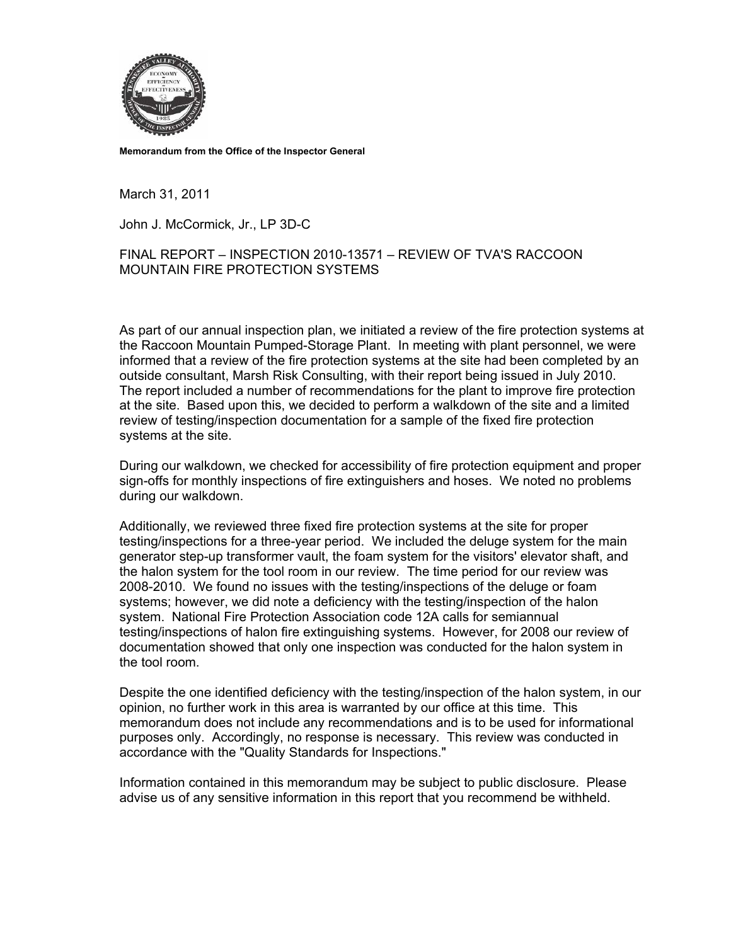

**Memorandum from the Office of the Inspector General** 

March 31, 2011

John J. McCormick, Jr., LP 3D-C

FINAL REPORT – INSPECTION 2010-13571 – REVIEW OF TVA'S RACCOON MOUNTAIN FIRE PROTECTION SYSTEMS

As part of our annual inspection plan, we initiated a review of the fire protection systems at the Raccoon Mountain Pumped-Storage Plant. In meeting with plant personnel, we were informed that a review of the fire protection systems at the site had been completed by an outside consultant, Marsh Risk Consulting, with their report being issued in July 2010. The report included a number of recommendations for the plant to improve fire protection at the site. Based upon this, we decided to perform a walkdown of the site and a limited review of testing/inspection documentation for a sample of the fixed fire protection systems at the site.

During our walkdown, we checked for accessibility of fire protection equipment and proper sign-offs for monthly inspections of fire extinguishers and hoses. We noted no problems during our walkdown.

Additionally, we reviewed three fixed fire protection systems at the site for proper testing/inspections for a three-year period. We included the deluge system for the main generator step-up transformer vault, the foam system for the visitors' elevator shaft, and the halon system for the tool room in our review. The time period for our review was 2008-2010. We found no issues with the testing/inspections of the deluge or foam systems; however, we did note a deficiency with the testing/inspection of the halon system. National Fire Protection Association code 12A calls for semiannual testing/inspections of halon fire extinguishing systems. However, for 2008 our review of documentation showed that only one inspection was conducted for the halon system in the tool room.

Despite the one identified deficiency with the testing/inspection of the halon system, in our opinion, no further work in this area is warranted by our office at this time. This memorandum does not include any recommendations and is to be used for informational purposes only. Accordingly, no response is necessary. This review was conducted in accordance with the "Quality Standards for Inspections."

Information contained in this memorandum may be subject to public disclosure. Please advise us of any sensitive information in this report that you recommend be withheld.